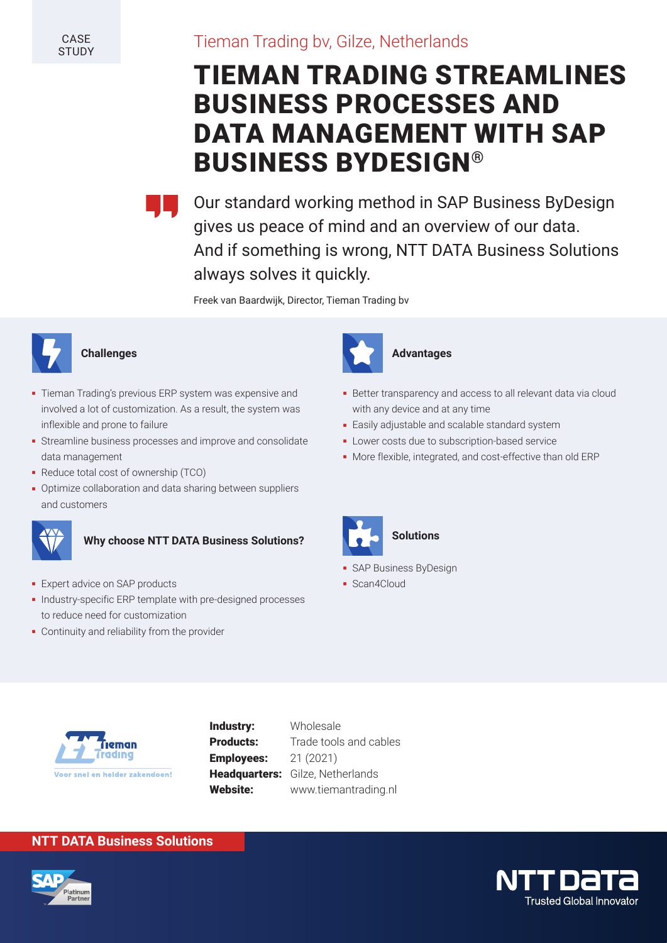**CASE STUDY** 

# Tieman Trading bv, Gilze, Netherlands

# TIEMAN TRADING STREAMLINES BUSINESS PROCESSES AND DATA MANAGEMENT WITH SAP BUSINESS BYDESIGN®



Our standard working method in SAP Business ByDesign gives us peace of mind and an overview of our data. And if something is wrong, NTT DATA Business Solutions always solves it quickly.

Freek van Baardwijk, Director, Tieman Trading bv



#### **Challenges**

- Tieman Trading's previous ERP system was expensive and involved a lot of customization. As a result, the system was inflexible and prone to failure
- Streamline business processes and improve and consolidate data management
- Reduce total cost of ownership (TCO)
- **Benefits** Collaboration and data sharing between suppliers Solutions? The Collaboration of the Collaboration and data sharing between suppliers Solutions? and customers



### **Why choose NTT DATA Business Solutions?**

- **-** Expert advice on SAP products
- Industry-specific ERP template with pre-designed processes to reduce need for customization
- Continuity and reliability from the provider



#### **Advantages**

- Better transparency and access to all relevant data via cloud with any device and at any time
- Easily adjustable and scalable standard system
- Lower costs due to subscription-based service
- More flexible, integrated, and cost-effective than old ERP



#### **Solutions**

- **SAP Business ByDesign**
- Scan4Cloud



**Industry:** Wholesale **Employees:** 21 (2021)

**Products:** Trade tools and cables Headquarters: Gilze, Netherlands Website: www.tiemantrading.nl